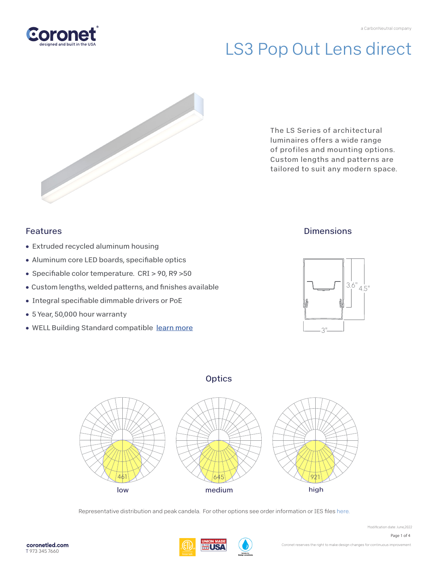



The LS Series of architectural luminaires offers a wide range of profiles and mounting options. Custom lengths and patterns are tailored to suit any modern space.

### Features

- Extruded recycled aluminum housing
- Aluminum core LED boards, specifiable optics
- Specifiable color temperature. CRI > 90, R9 > 50
- Custom lengths, welded patterns, and finishes available
- Integral specifiable dimmable drivers or PoE
- 5 Year, 50,000 hour warranty
- WELL Building Standard compatible [learn more](https://coronetled.com/well-v2-standard/)

### **Dimensions**







Representative distribution and peak candela. For other options see order information or IES file[s here.](https://coronetled.com/downloads/)



Modification date: June,2022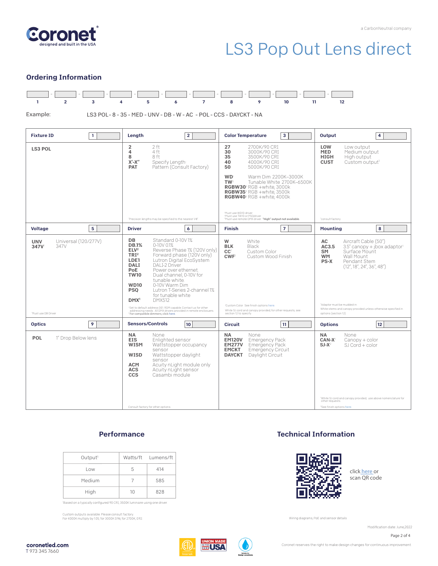

#### Ordering Information



Example:

LS3 POL-8-35 - MED - UNV - DB - W - AC - POL - CCS - DAYCKT - NA

| $\mathbf{1}$                                                                          | Length                                                                                                                                                                                                                                                                                                                                                                                                                                                                                                                                                                                                                                                                                  | 3                                                                                                                                                                                                                                                                                                                                                                                                                                                                                | Output                                                                                                                                                                                                                                                                                                 |
|---------------------------------------------------------------------------------------|-----------------------------------------------------------------------------------------------------------------------------------------------------------------------------------------------------------------------------------------------------------------------------------------------------------------------------------------------------------------------------------------------------------------------------------------------------------------------------------------------------------------------------------------------------------------------------------------------------------------------------------------------------------------------------------------|----------------------------------------------------------------------------------------------------------------------------------------------------------------------------------------------------------------------------------------------------------------------------------------------------------------------------------------------------------------------------------------------------------------------------------------------------------------------------------|--------------------------------------------------------------------------------------------------------------------------------------------------------------------------------------------------------------------------------------------------------------------------------------------------------|
| <b>Fixture ID</b>                                                                     | $\overline{2}$                                                                                                                                                                                                                                                                                                                                                                                                                                                                                                                                                                                                                                                                          | <b>Color Temperature</b>                                                                                                                                                                                                                                                                                                                                                                                                                                                         | 4                                                                                                                                                                                                                                                                                                      |
| <b>LS3 POL</b>                                                                        | $\overline{2}$<br>2 ft<br>4<br>4 ft<br>8<br>8 ft<br>$X'$ - $X''$<br>Specify Length<br>Pattern (Consult Factory)<br><b>PAT</b><br>'Precision lengths may be specified to the nearest 1/8".                                                                                                                                                                                                                                                                                                                                                                                                                                                                                               | 27<br>2700K/90 CRI<br>30<br>3000K/90 CRI<br>35<br>3500K/90 CRI<br>40<br>4000K/90 CRI<br>5000K/90 CRI<br>50<br><b>WD</b><br>Warm Dim 2200K-3000K<br>TW <sup>2</sup><br>Tunable White 2700K-6500K<br>RGBW30 <sup>3</sup> RGB +white, 3000k<br>RGBW35 <sup>3</sup> RGB +white, 3500k<br><b>RGBW40</b> <sup>3</sup> RGB +white. 4000k<br>'Must use WD10 driver.<br><sup>2</sup> Must use TW10 or PSQdriver.<br><sup>3</sup> Must use remote DMX driver. "High" output not available. | LOW<br>Low output<br><b>MED</b><br>Medium output<br><b>HIGH</b><br>High output<br><b>CUST</b><br>Custom output <sup>1</sup><br>consult factory                                                                                                                                                         |
| <b>Voltage</b>                                                                        | <b>Driver</b>                                                                                                                                                                                                                                                                                                                                                                                                                                                                                                                                                                                                                                                                           | <b>Finish</b>                                                                                                                                                                                                                                                                                                                                                                                                                                                                    | 8                                                                                                                                                                                                                                                                                                      |
| 5                                                                                     | 6                                                                                                                                                                                                                                                                                                                                                                                                                                                                                                                                                                                                                                                                                       | $\overline{7}$                                                                                                                                                                                                                                                                                                                                                                                                                                                                   | Mounting                                                                                                                                                                                                                                                                                               |
| Universal (120/277V)<br><b>UNV</b><br>347V<br>347V<br><sup>1</sup> Must use DB Driver | <b>DB</b><br>Standard 0-10V1%<br><b>DB.1%</b><br>$0-10V$ 0.1%<br>ELV <sup>2</sup><br>Reverse Phase 1% (120V only)<br>TRI <sup>2</sup><br>Forward phase (120V only)<br>LDE1<br>Lutron Digital EcoSystem<br><b>DALI</b><br>DALI-2 Driver<br>Power over ethernet.<br><b>PoE</b><br>Dual channel, 0-10V for<br><b>TW10</b><br>tunable white.<br><b>WD10</b><br>0-10V Warm Dim<br>Lutron T-Series 2-channel 1%<br><b>PSO</b><br>for tunable white<br><b>DMX512</b><br>DMX <sup>1</sup><br><sup>1</sup> Set to default address 001. RDM capable. Contact us for other<br>addressing needs. All DMX drivers provided in remote enclosuers.<br><sup>2</sup> For compatible dimmers, click here. | W<br>White<br><b>BLK</b><br>Black<br>CC <sup>1</sup><br>Custom Color<br><b>CWF</b><br>Custom Wood Finish<br>'Custom Color. See finish options here.<br>White SJ cord and canopy provided; for other requests, see<br>section 12 to specify.                                                                                                                                                                                                                                      | Aircraft Cable (50")<br>AC<br>AC3.5<br>3.5" canopy + jbox adaptor1<br>Surface Mount<br>SM<br>Wall Mount<br><b>WM</b><br>PS-X<br>Pendant Stem<br>(12'', 18'', 24'', 36'', 48'')<br>'Adaptor must be mudded-in<br>White stems and canopy provided unless otherwise specified in<br>options (section 12). |
| <b>Optics</b>                                                                         | <b>Sensors/Controls</b>                                                                                                                                                                                                                                                                                                                                                                                                                                                                                                                                                                                                                                                                 | 11                                                                                                                                                                                                                                                                                                                                                                                                                                                                               | 12                                                                                                                                                                                                                                                                                                     |
| 9                                                                                     | 10                                                                                                                                                                                                                                                                                                                                                                                                                                                                                                                                                                                                                                                                                      | <b>Circuit</b>                                                                                                                                                                                                                                                                                                                                                                                                                                                                   | <b>Options</b>                                                                                                                                                                                                                                                                                         |
| <b>POL</b><br>1" Drop Below lens                                                      | <b>NA</b><br>None<br><b>EIS</b><br>Enlighted sensor<br><b>WISM</b><br>Wattstopper occupancy<br>sensor<br>WISD<br>Wattstopper daylight<br>sensor<br>Acuity nLight module only<br><b>ACM</b><br><b>ACS</b><br>Acuity nLight sensor<br>Casambi module<br><b>CCS</b><br>Consult factory for other options.                                                                                                                                                                                                                                                                                                                                                                                  | <b>NA</b><br>None<br><b>EM120V</b><br><b>Emergency Pack</b><br><b>EM277V</b><br><b>Emergency Pack</b><br><b>EMCKT</b><br>Emergency Circuit<br>Daylight Circuit<br><b>DAYCKT</b>                                                                                                                                                                                                                                                                                                  | <b>NA</b><br>None<br>CAN-X <sup>1</sup><br>$Canopy + color$<br>$SI$ Cord + color<br>$SI-X^2$<br>'White SJ cord and canopy provided; use above nomenclature for<br>other requests.<br><sup>2</sup> See finish options here.                                                                             |

#### **Performance**

| Output <sup>1</sup> |    | Watts/ft Lumens/ft |
|---------------------|----|--------------------|
| Low                 | 5  | 414                |
| Medium              |    | 585                |
| High                | 10 | 828                |

'Based on a typically configured 90 CRI, 3500K luminaire using one driver.

Custom outputs available. Please consult factory. For 4000K multiply by 1.05; for 3000K 0.96; for 2700K, 0.92.

#### Technical Information



click [here or](https://coronetled.com/warranty-technical-info/) scan QR code

Wiring diagrams, PoE and sensor details

Modification date: June.2022



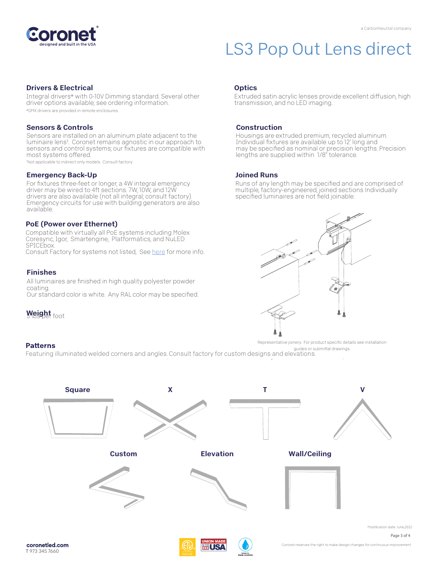

#### Drivers & Electrical

Integral drivers\* with 0-10V Dimming standard. Several other driver options available; see ordering information.

\*DMX drivers are provided in remote enclosures.

#### Sensors & Controls

Sensors are installed on an aluminum plate adjacent to the luminaire lens<sup>1</sup>. Coronet remains agnostic in our approach to sensors and control systems; our fixtures are compatible with most systems offered.

1Not applicable to indirect only models. Consult factory.

#### Emergency Back-Up

For fixtures three-feet or longer, a 4W integral emergency driver may be wired to 4ft sections. 7W, 10W, and 12W drivers are also available (not all integral; consult factory). Emergency circuits for use with building generators are also available.

#### PoE (Power over Ethernet)

Compatible with virtually all PoE systems including Molex Coresync, Igor, Smartengine, Platformatics, and NuLED SPICEbox.

Consult Factory for systems not listed, See here for more info.

#### Finishes

All luminaires are finished in high quality polyester powder coating.

Our standard color is white. Any RAL color may be specified.

Weight foot

#### **Patterns**

#### **Optics**

Extruded satin acrylic lenses provide excellent diffusion, high transmission, and no LED imaging.

#### Construction

Housings are extruded premium, recycled aluminum. Individual fixtures are available up to 12' long and may be specified as nominal or precision lengths. Precision lengths are supplied within 1/8" tolerance.

#### Joined Runs

Runs of any length may be specified and are comprised of multiple, factory-engineered, joined sections. Individually specified luminaires are not field joinable.



Representative joinery. For product specific details see installation guides or submittal drawings.

Featuring illuminated welded corners and angles. Consult factory for custom designs and elevations.





Coronet reserves the right to make design changes for continuous improvement.